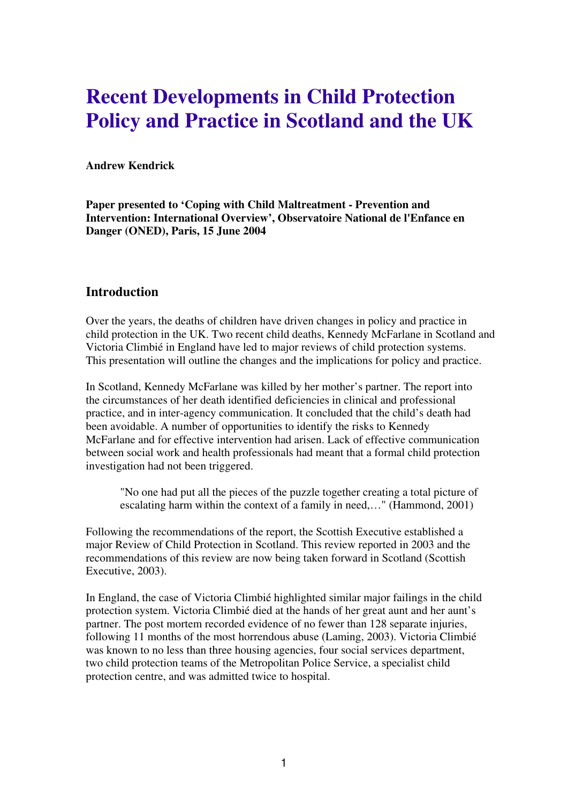# **Recent Developments in Child Protection Policy and Practice in Scotland and the UK**

#### **Andrew Kendrick**

**Paper presented to 'Coping with Child Maltreatment - Prevention and Intervention: International Overview', Observatoire National de l'Enfance en Danger (ONED), Paris, 15 June 2004** 

#### **Introduction**

Over the years, the deaths of children have driven changes in policy and practice in child protection in the UK. Two recent child deaths, Kennedy McFarlane in Scotland and Victoria Climbié in England have led to major reviews of child protection systems. This presentation will outline the changes and the implications for policy and practice.

In Scotland, Kennedy McFarlane was killed by her mother's partner. The report into the circumstances of her death identified deficiencies in clinical and professional practice, and in inter-agency communication. It concluded that the child's death had been avoidable. A number of opportunities to identify the risks to Kennedy McFarlane and for effective intervention had arisen. Lack of effective communication between social work and health professionals had meant that a formal child protection investigation had not been triggered.

"No one had put all the pieces of the puzzle together creating a total picture of escalating harm within the context of a family in need,…" (Hammond, 2001)

Following the recommendations of the report, the Scottish Executive established a major Review of Child Protection in Scotland. This review reported in 2003 and the recommendations of this review are now being taken forward in Scotland (Scottish Executive, 2003).

<span id="page-0-0"></span>In England, the case of Victoria Climbié highlighted similar major failings in the child protection system. Victoria Climbié died at the hands of her great aunt and her aunt's partner. The post mortem recorded evidence of no fewer than 128 separate injuries, following 11 months of the most horrendous abuse (Laming, 2003). Victoria Climbié was known to no less than three housing agencies, four social services department, two child protection teams of the Metropolitan Police Service, a specialist child protection centre, and was admitted twice to hospital.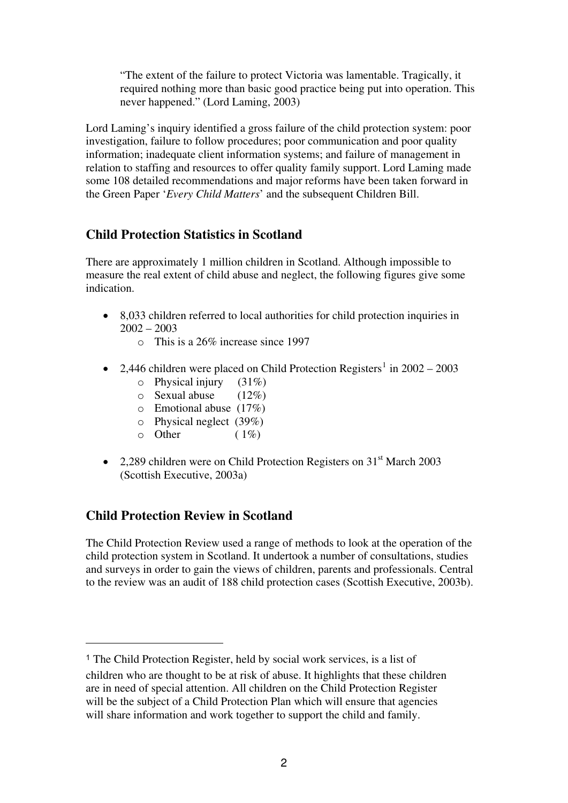"The extent of the failure to protect Victoria was lamentable. Tragically, it required nothing more than basic good practice being put into operation. This never happened." (Lord Laming, 2003)

Lord Laming's inquiry identified a gross failure of the child protection system: poor investigation, failure to follow procedures; poor communication and poor quality information; inadequate client information systems; and failure of management in relation to staffing and resources to offer quality family support. Lord Laming made some 108 detailed recommendations and major reforms have been taken forward in the Green Paper '*Every Child Matters*' and the subsequent Children Bill.

## **Child Protection Statistics in Scotland**

There are approximately 1 million children in Scotland. Although impossible to measure the real extent of child abuse and neglect, the following figures give some indication.

- 8,033 children referred to local authorities for child protection inquiries in 2002 – 2003
	- o This is a 26% increase since 1997
- 2,446 children were placed on Child Protection Registers<sup>[1](#page-0-0)</sup> in  $2002 2003$ 
	- $\circ$  Physical injury (31%)
	- $\circ$  Sexual abuse (12%)
	- o Emotional abuse (17%)
	- o Physical neglect (39%)
	- $\circ$  Other (1%)
- 2,289 children were on Child Protection Registers on  $31<sup>st</sup>$  March 2003 (Scottish Executive, 2003a)

## **Child Protection Review in Scotland**

 $\overline{a}$ 

The Child Protection Review used a range of methods to look at the operation of the child protection system in Scotland. It undertook a number of consultations, studies and surveys in order to gain the views of children, parents and professionals. Central to the review was an audit of 188 child protection cases (Scottish Executive, 2003b).

<sup>1</sup> The Child Protection Register, held by social work services, is a list of children who are thought to be at risk of abuse. It highlights that these children are in need of special attention. All children on the Child Protection Register will be the subject of a Child Protection Plan which will ensure that agencies will share information and work together to support the child and family.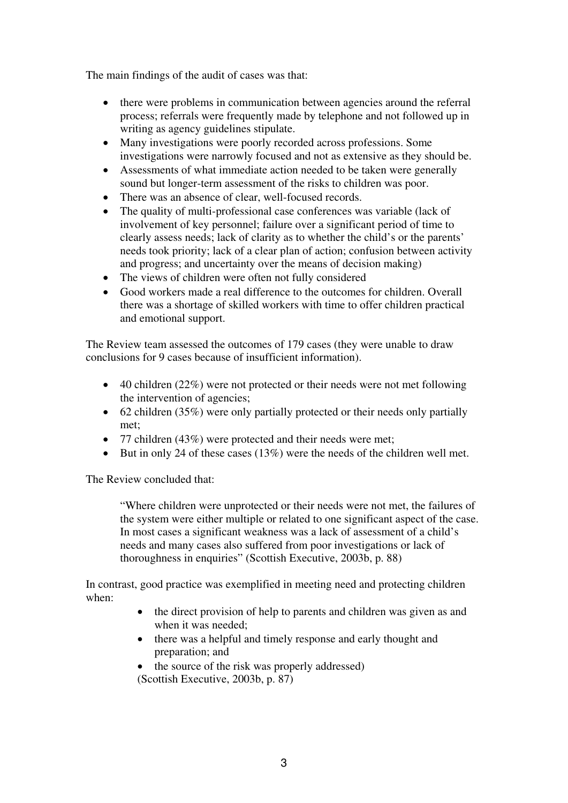The main findings of the audit of cases was that:

- there were problems in communication between agencies around the referral process; referrals were frequently made by telephone and not followed up in writing as agency guidelines stipulate.
- Many investigations were poorly recorded across professions. Some investigations were narrowly focused and not as extensive as they should be.
- Assessments of what immediate action needed to be taken were generally sound but longer-term assessment of the risks to children was poor.
- There was an absence of clear, well-focused records.
- The quality of multi-professional case conferences was variable (lack of involvement of key personnel; failure over a significant period of time to clearly assess needs; lack of clarity as to whether the child's or the parents' needs took priority; lack of a clear plan of action; confusion between activity and progress; and uncertainty over the means of decision making)
- The views of children were often not fully considered
- Good workers made a real difference to the outcomes for children. Overall there was a shortage of skilled workers with time to offer children practical and emotional support.

The Review team assessed the outcomes of 179 cases (they were unable to draw conclusions for 9 cases because of insufficient information).

- 40 children (22%) were not protected or their needs were not met following the intervention of agencies;
- 62 children (35%) were only partially protected or their needs only partially met;
- 77 children (43%) were protected and their needs were met;
- But in only 24 of these cases (13%) were the needs of the children well met.

The Review concluded that:

 "Where children were unprotected or their needs were not met, the failures of the system were either multiple or related to one significant aspect of the case. In most cases a significant weakness was a lack of assessment of a child's needs and many cases also suffered from poor investigations or lack of thoroughness in enquiries" (Scottish Executive, 2003b, p. 88)

In contrast, good practice was exemplified in meeting need and protecting children when:

- the direct provision of help to parents and children was given as and when it was needed;
- there was a helpful and timely response and early thought and preparation; and
- the source of the risk was properly addressed) (Scottish Executive, 2003b, p. 87)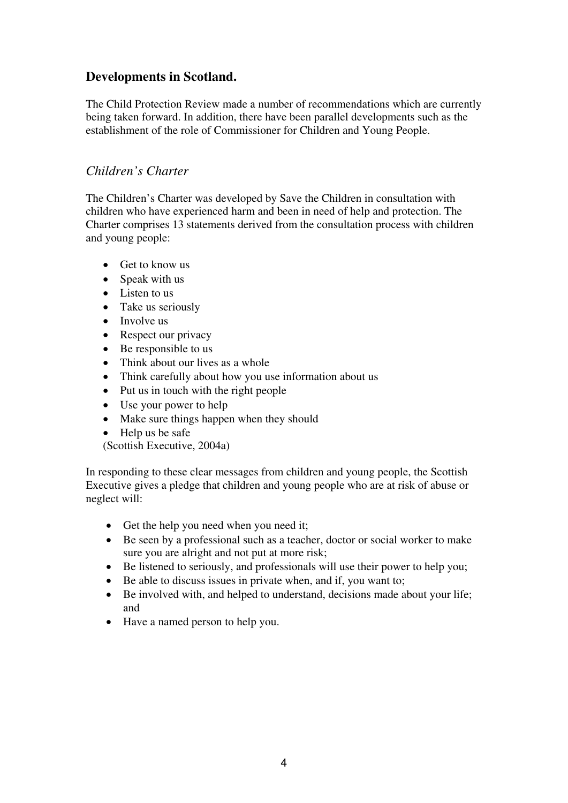## **Developments in Scotland.**

The Child Protection Review made a number of recommendations which are currently being taken forward. In addition, there have been parallel developments such as the establishment of the role of Commissioner for Children and Young People.

#### *Children's Charter*

The Children's Charter was developed by Save the Children in consultation with children who have experienced harm and been in need of help and protection. The Charter comprises 13 statements derived from the consultation process with children and young people:

- Get to know us
- Speak with us
- Listen to us
- Take us seriously
- Involve us
- Respect our privacy
- Be responsible to us
- Think about our lives as a whole
- Think carefully about how you use information about us
- Put us in touch with the right people
- Use your power to help
- Make sure things happen when they should
- Help us be safe

(Scottish Executive, 2004a)

In responding to these clear messages from children and young people, the Scottish Executive gives a pledge that children and young people who are at risk of abuse or neglect will:

- Get the help you need when you need it;
- Be seen by a professional such as a teacher, doctor or social worker to make sure you are alright and not put at more risk;
- Be listened to seriously, and professionals will use their power to help you;
- Be able to discuss issues in private when, and if, you want to:
- Be involved with, and helped to understand, decisions made about your life; and
- Have a named person to help you.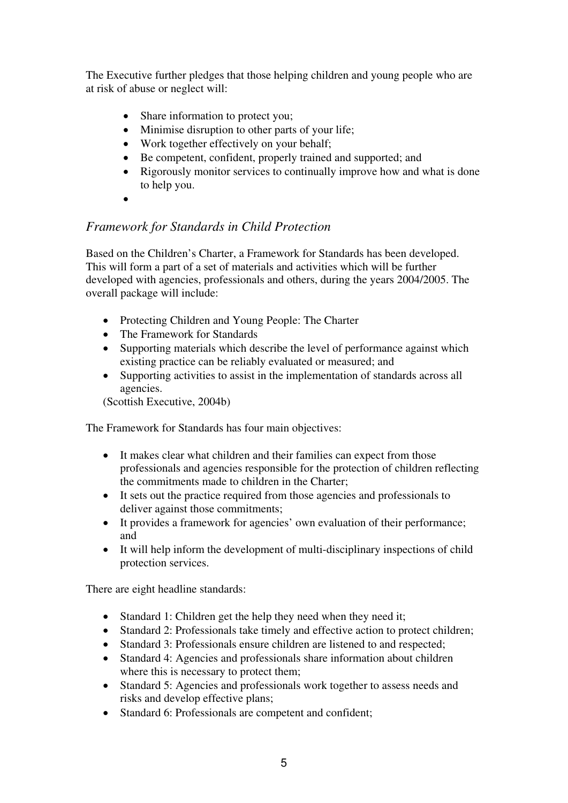The Executive further pledges that those helping children and young people who are at risk of abuse or neglect will:

- Share information to protect you;
- Minimise disruption to other parts of your life;
- Work together effectively on your behalf:
- Be competent, confident, properly trained and supported; and
- Rigorously monitor services to continually improve how and what is done to help you.
- •

### *Framework for Standards in Child Protection*

Based on the Children's Charter, a Framework for Standards has been developed. This will form a part of a set of materials and activities which will be further developed with agencies, professionals and others, during the years 2004/2005. The overall package will include:

- Protecting Children and Young People: The Charter
- The Framework for Standards
- Supporting materials which describe the level of performance against which existing practice can be reliably evaluated or measured; and
- Supporting activities to assist in the implementation of standards across all agencies.

(Scottish Executive, 2004b)

The Framework for Standards has four main objectives:

- It makes clear what children and their families can expect from those professionals and agencies responsible for the protection of children reflecting the commitments made to children in the Charter;
- It sets out the practice required from those agencies and professionals to deliver against those commitments;
- It provides a framework for agencies' own evaluation of their performance; and
- It will help inform the development of multi-disciplinary inspections of child protection services.

There are eight headline standards:

- Standard 1: Children get the help they need when they need it;
- Standard 2: Professionals take timely and effective action to protect children;
- Standard 3: Professionals ensure children are listened to and respected;
- Standard 4: Agencies and professionals share information about children where this is necessary to protect them;
- Standard 5: Agencies and professionals work together to assess needs and risks and develop effective plans;
- Standard 6: Professionals are competent and confident;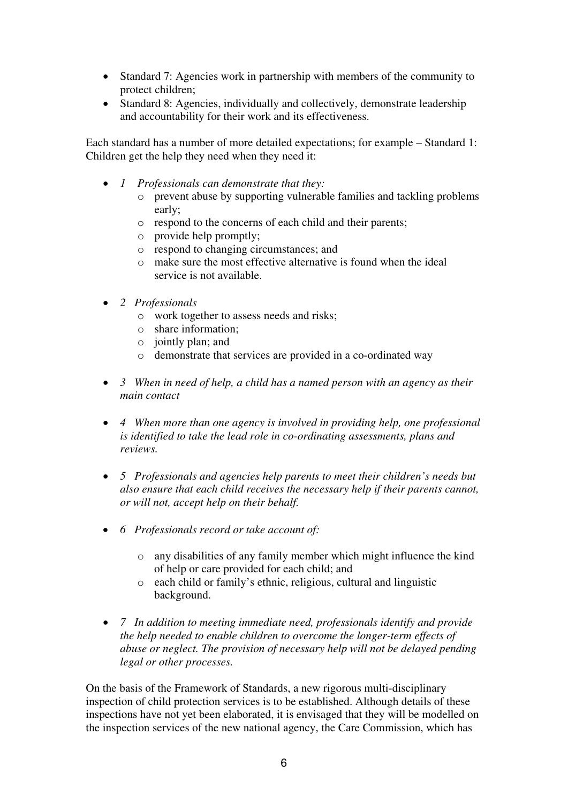- Standard 7: Agencies work in partnership with members of the community to protect children;
- Standard 8: Agencies, individually and collectively, demonstrate leadership and accountability for their work and its effectiveness.

Each standard has a number of more detailed expectations; for example – Standard 1: Children get the help they need when they need it:

- *1 Professionals can demonstrate that they:* 
	- o prevent abuse by supporting vulnerable families and tackling problems early;
	- o respond to the concerns of each child and their parents;
	- o provide help promptly;
	- o respond to changing circumstances; and
	- o make sure the most effective alternative is found when the ideal service is not available.
- *2 Professionals* 
	- o work together to assess needs and risks;
	- o share information;
	- $\circ$  jointly plan; and
	- o demonstrate that services are provided in a co-ordinated way
- *3 When in need of help, a child has a named person with an agency as their main contact*
- *4 When more than one agency is involved in providing help, one professional is identified to take the lead role in co-ordinating assessments, plans and reviews.*
- *5 Professionals and agencies help parents to meet their children's needs but also ensure that each child receives the necessary help if their parents cannot, or will not, accept help on their behalf.*
- *6 Professionals record or take account of:* 
	- o any disabilities of any family member which might influence the kind of help or care provided for each child; and
	- o each child or family's ethnic, religious, cultural and linguistic background.
- *7 In addition to meeting immediate need, professionals identify and provide the help needed to enable children to overcome the longer-term effects of abuse or neglect. The provision of necessary help will not be delayed pending legal or other processes.*

On the basis of the Framework of Standards, a new rigorous multi-disciplinary inspection of child protection services is to be established. Although details of these inspections have not yet been elaborated, it is envisaged that they will be modelled on the inspection services of the new national agency, the Care Commission, which has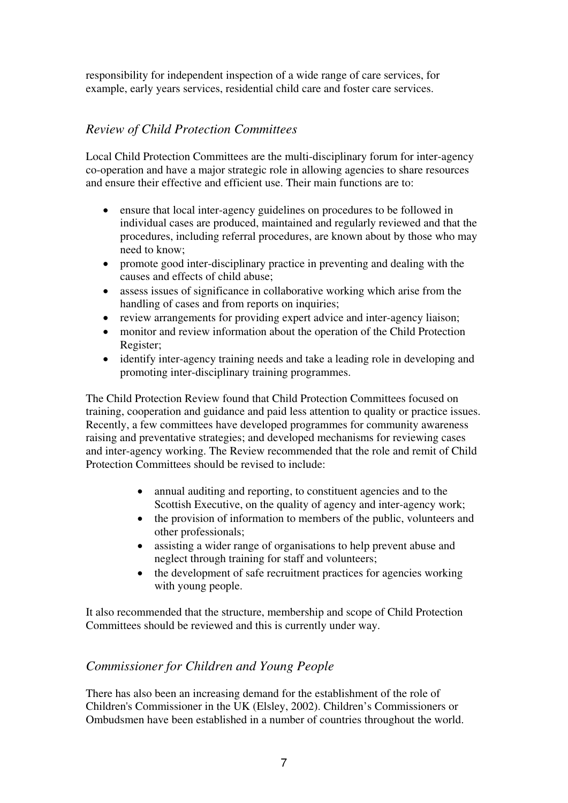responsibility for independent inspection of a wide range of care services, for example, early years services, residential child care and foster care services.

## *Review of Child Protection Committees*

Local Child Protection Committees are the multi-disciplinary forum for inter-agency co-operation and have a major strategic role in allowing agencies to share resources and ensure their effective and efficient use. Their main functions are to:

- ensure that local inter-agency guidelines on procedures to be followed in individual cases are produced, maintained and regularly reviewed and that the procedures, including referral procedures, are known about by those who may need to know;
- promote good inter-disciplinary practice in preventing and dealing with the causes and effects of child abuse;
- assess issues of significance in collaborative working which arise from the handling of cases and from reports on inquiries;
- review arrangements for providing expert advice and inter-agency liaison;
- monitor and review information about the operation of the Child Protection Register;
- identify inter-agency training needs and take a leading role in developing and promoting inter-disciplinary training programmes.

The Child Protection Review found that Child Protection Committees focused on training, cooperation and guidance and paid less attention to quality or practice issues. Recently, a few committees have developed programmes for community awareness raising and preventative strategies; and developed mechanisms for reviewing cases and inter-agency working. The Review recommended that the role and remit of Child Protection Committees should be revised to include:

- annual auditing and reporting, to constituent agencies and to the Scottish Executive, on the quality of agency and inter-agency work;
- the provision of information to members of the public, volunteers and other professionals;
- assisting a wider range of organisations to help prevent abuse and neglect through training for staff and volunteers;
- the development of safe recruitment practices for agencies working with young people.

It also recommended that the structure, membership and scope of Child Protection Committees should be reviewed and this is currently under way.

#### *Commissioner for Children and Young People*

There has also been an increasing demand for the establishment of the role of Children's Commissioner in the UK (Elsley, 2002). Children's Commissioners or Ombudsmen have been established in a number of countries throughout the world.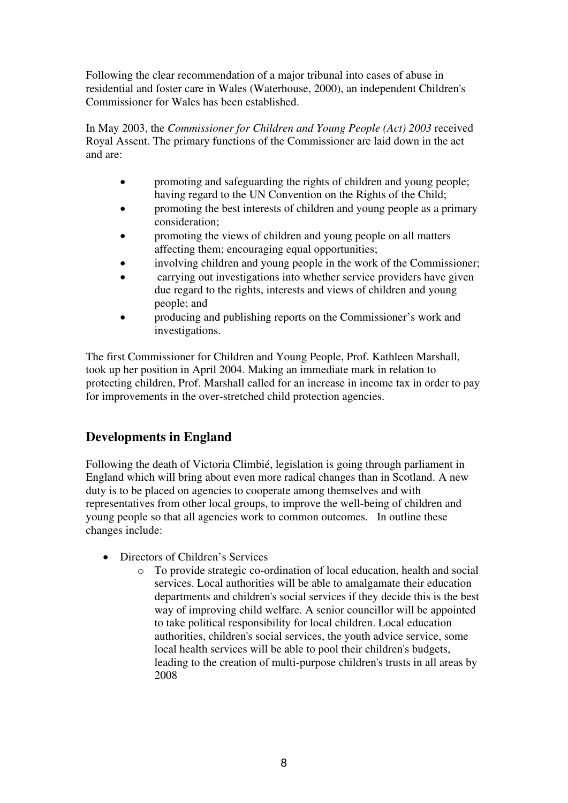Following the clear recommendation of a major tribunal into cases of abuse in residential and foster care in Wales (Waterhouse, 2000), an independent Children's Commissioner for Wales has been established.

In May 2003, the *Commissioner for Children and Young People (Act) 2003* received Royal Assent. The primary functions of the Commissioner are laid down in the act and are:

- promoting and safeguarding the rights of children and young people; having regard to the UN Convention on the Rights of the Child;
- promoting the best interests of children and young people as a primary consideration;
- promoting the views of children and young people on all matters affecting them; encouraging equal opportunities;
- involving children and young people in the work of the Commissioner;
- carrying out investigations into whether service providers have given due regard to the rights, interests and views of children and young people; and
- producing and publishing reports on the Commissioner's work and investigations.

The first Commissioner for Children and Young People, Prof. Kathleen Marshall, took up her position in April 2004. Making an immediate mark in relation to protecting children, Prof. Marshall called for an increase in income tax in order to pay for improvements in the over-stretched child protection agencies.

# **Developments in England**

Following the death of Victoria Climbié, legislation is going through parliament in England which will bring about even more radical changes than in Scotland. A new duty is to be placed on agencies to cooperate among themselves and with representatives from other local groups, to improve the well-being of children and young people so that all agencies work to common outcomes. In outline these changes include:

- Directors of Children's Services
	- o To provide strategic co-ordination of local education, health and social services. Local authorities will be able to amalgamate their education departments and children's social services if they decide this is the best way of improving child welfare. A senior councillor will be appointed to take political responsibility for local children. Local education authorities, children's social services, the youth advice service, some local health services will be able to pool their children's budgets, leading to the creation of multi-purpose children's trusts in all areas by 2008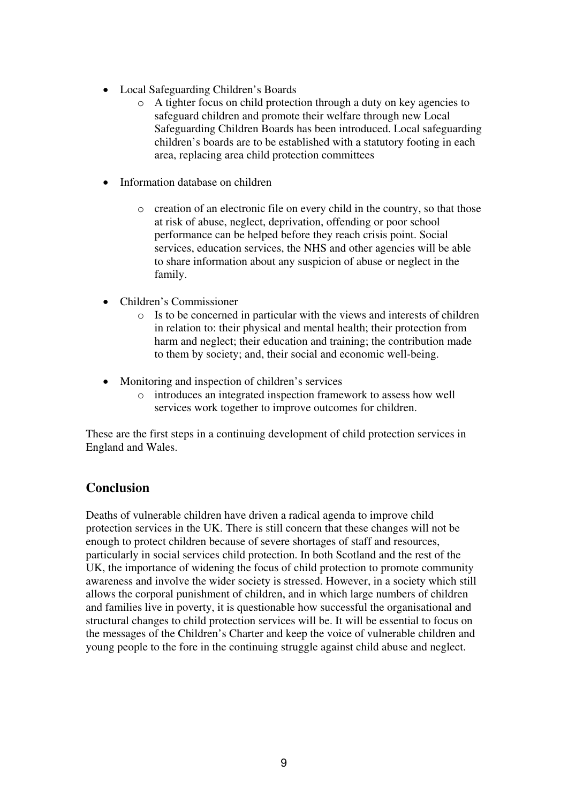- Local Safeguarding Children's Boards
	- o A tighter focus on child protection through a duty on key agencies to safeguard children and promote their welfare through new Local Safeguarding Children Boards has been introduced. Local safeguarding children's boards are to be established with a statutory footing in each area, replacing area child protection committees
- Information database on children
	- o creation of an electronic file on every child in the country, so that those at risk of abuse, neglect, deprivation, offending or poor school performance can be helped before they reach crisis point. Social services, education services, the NHS and other agencies will be able to share information about any suspicion of abuse or neglect in the family.
- Children's Commissioner
	- o Is to be concerned in particular with the views and interests of children in relation to: their physical and mental health; their protection from harm and neglect; their education and training; the contribution made to them by society; and, their social and economic well-being.
- Monitoring and inspection of children's services
	- o introduces an integrated inspection framework to assess how well services work together to improve outcomes for children.

These are the first steps in a continuing development of child protection services in England and Wales.

#### **Conclusion**

Deaths of vulnerable children have driven a radical agenda to improve child protection services in the UK. There is still concern that these changes will not be enough to protect children because of severe shortages of staff and resources, particularly in social services child protection. In both Scotland and the rest of the UK, the importance of widening the focus of child protection to promote community awareness and involve the wider society is stressed. However, in a society which still allows the corporal punishment of children, and in which large numbers of children and families live in poverty, it is questionable how successful the organisational and structural changes to child protection services will be. It will be essential to focus on the messages of the Children's Charter and keep the voice of vulnerable children and young people to the fore in the continuing struggle against child abuse and neglect.